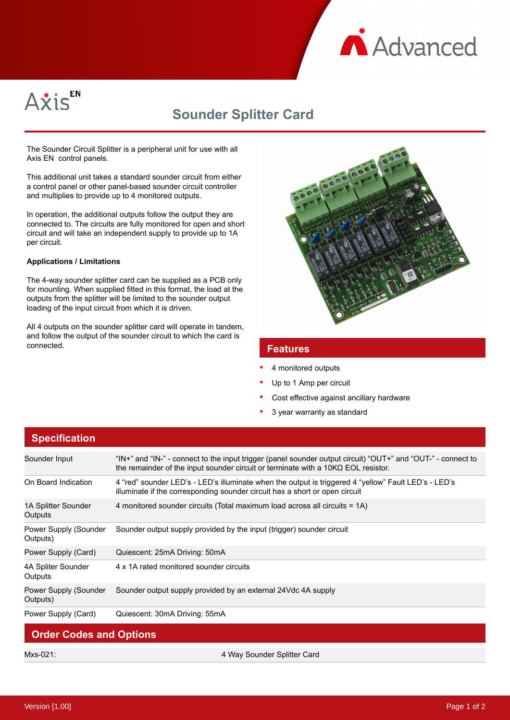



## **Sounder Splitter Card**

The Sounder Circuit Splitter is a peripheral unit for use with all Axis EN control panels.

This additional unit takes a standard sounder circuit from either a control panel or other panel-based sounder circuit controller and multiplies to provide up to 4 monitored outputs.

In operation, the additional outputs follow the output they are connected to. The circuits are fully monitored for open and short circuit and will take an independent supply to provide up to 1A per circuit.

## **Applications / Limitations**

The 4-way sounder splitter card can be supplied as a PCB only for mounting. When supplied fitted in this format, the load at the outputs from the splitter will be limited to the sounder output loading of the input circuit from which it is driven.

All 4 outputs on the sounder splitter card will operate in tandem, and follow the output of the sounder circuit to which the card is **Features** 



- 4 monitored outputs
- Up to 1 Amp per circuit
- Cost effective against ancillary hardware
- 3 year warranty as standard

| <b>Specification</b>              |                                                                                                                                                                                                          |
|-----------------------------------|----------------------------------------------------------------------------------------------------------------------------------------------------------------------------------------------------------|
| Sounder Input                     | "IN+" and "IN-" - connect to the input trigger (panel sounder output circuit) "OUT+" and "OUT-" - connect to<br>the remainder of the input sounder circuit or terminate with a $10K\Omega$ EOL resistor. |
| On Board Indication               | 4 "red" sounder LED's - LED's illuminate when the output is triggered 4 "yellow" Fault LED's - LED's<br>illuminate if the corresponding sounder circuit has a short or open circuit                      |
| 1A Splitter Sounder<br>Outputs    | 4 monitored sounder circuits (Total maximum load across all circuits = 1A)                                                                                                                               |
| Power Supply (Sounder<br>Outputs) | Sounder output supply provided by the input (trigger) sounder circuit                                                                                                                                    |
| Power Supply (Card)               | Quiescent: 25mA Driving: 50mA                                                                                                                                                                            |
| 4A Spliter Sounder<br>Outputs     | 4 x 1A rated monitored sounder circuits                                                                                                                                                                  |
| Power Supply (Sounder<br>Outputs) | Sounder output supply provided by an external 24Vdc 4A supply                                                                                                                                            |
| Power Supply (Card)               | Quiescent: 30mA Driving: 55mA                                                                                                                                                                            |
| <b>Order Codes and Options</b>    |                                                                                                                                                                                                          |

Mxs-021: 4 Way Sounder Splitter Card